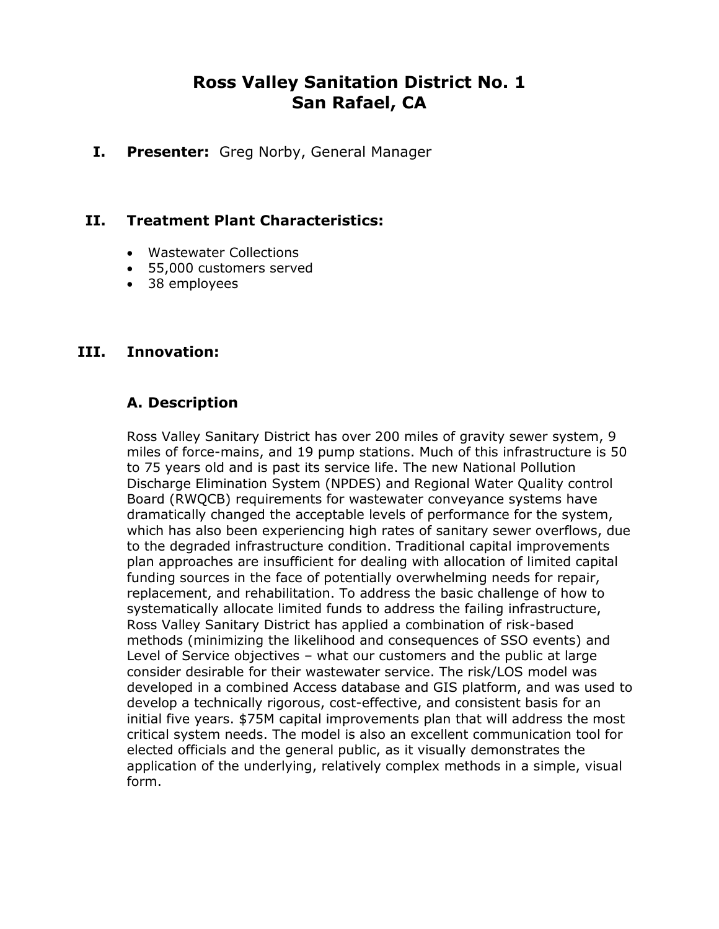# **Ross Valley Sanitation District No. 1 San Rafael, CA**

**I. Presenter:** Greg Norby, General Manager

#### **II. Treatment Plant Characteristics:**

- Wastewater Collections
- 55,000 customers served
- 38 employees

#### **III. Innovation:**

#### **A. Description**

Ross Valley Sanitary District has over 200 miles of gravity sewer system, 9 miles of force-mains, and 19 pump stations. Much of this infrastructure is 50 to 75 years old and is past its service life. The new National Pollution Discharge Elimination System (NPDES) and Regional Water Quality control Board (RWQCB) requirements for wastewater conveyance systems have dramatically changed the acceptable levels of performance for the system, which has also been experiencing high rates of sanitary sewer overflows, due to the degraded infrastructure condition. Traditional capital improvements plan approaches are insufficient for dealing with allocation of limited capital funding sources in the face of potentially overwhelming needs for repair, replacement, and rehabilitation. To address the basic challenge of how to systematically allocate limited funds to address the failing infrastructure, Ross Valley Sanitary District has applied a combination of risk-based methods (minimizing the likelihood and consequences of SSO events) and Level of Service objectives – what our customers and the public at large consider desirable for their wastewater service. The risk/LOS model was developed in a combined Access database and GIS platform, and was used to develop a technically rigorous, cost-effective, and consistent basis for an initial five years. \$75M capital improvements plan that will address the most critical system needs. The model is also an excellent communication tool for elected officials and the general public, as it visually demonstrates the application of the underlying, relatively complex methods in a simple, visual form.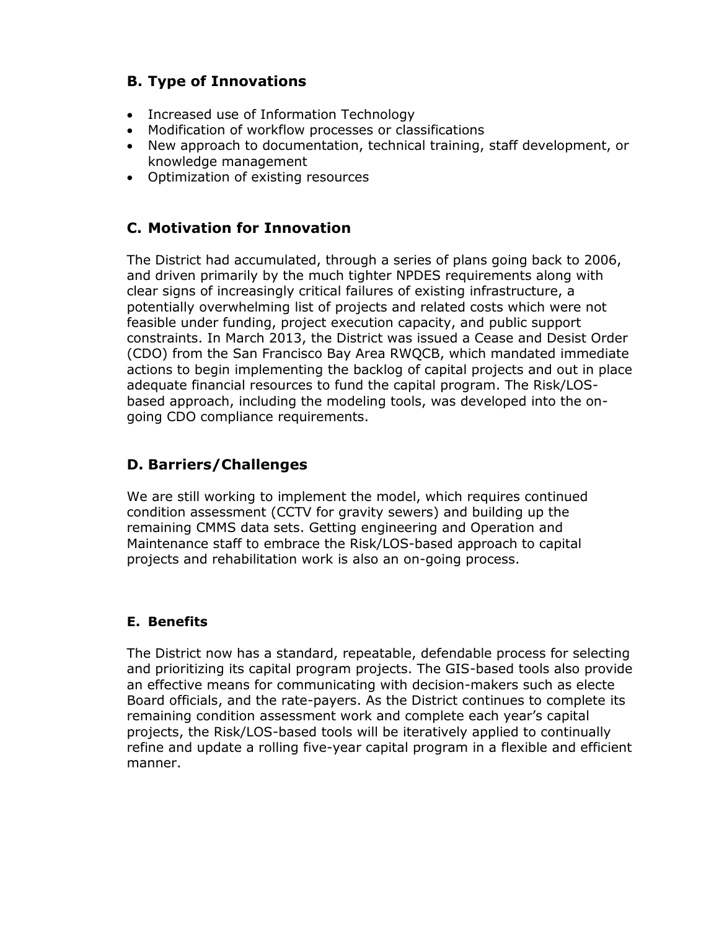# **B. Type of Innovations**

- Increased use of Information Technology
- Modification of workflow processes or classifications
- New approach to documentation, technical training, staff development, or knowledge management
- Optimization of existing resources

# **C. Motivation for Innovation**

The District had accumulated, through a series of plans going back to 2006, and driven primarily by the much tighter NPDES requirements along with clear signs of increasingly critical failures of existing infrastructure, a potentially overwhelming list of projects and related costs which were not feasible under funding, project execution capacity, and public support constraints. In March 2013, the District was issued a Cease and Desist Order (CDO) from the San Francisco Bay Area RWQCB, which mandated immediate actions to begin implementing the backlog of capital projects and out in place adequate financial resources to fund the capital program. The Risk/LOSbased approach, including the modeling tools, was developed into the ongoing CDO compliance requirements.

# **D. Barriers/Challenges**

We are still working to implement the model, which requires continued condition assessment (CCTV for gravity sewers) and building up the remaining CMMS data sets. Getting engineering and Operation and Maintenance staff to embrace the Risk/LOS-based approach to capital projects and rehabilitation work is also an on-going process.

# **E. Benefits**

The District now has a standard, repeatable, defendable process for selecting and prioritizing its capital program projects. The GIS-based tools also provide an effective means for communicating with decision-makers such as electe Board officials, and the rate-payers. As the District continues to complete its remaining condition assessment work and complete each year's capital projects, the Risk/LOS-based tools will be iteratively applied to continually refine and update a rolling five-year capital program in a flexible and efficient manner.